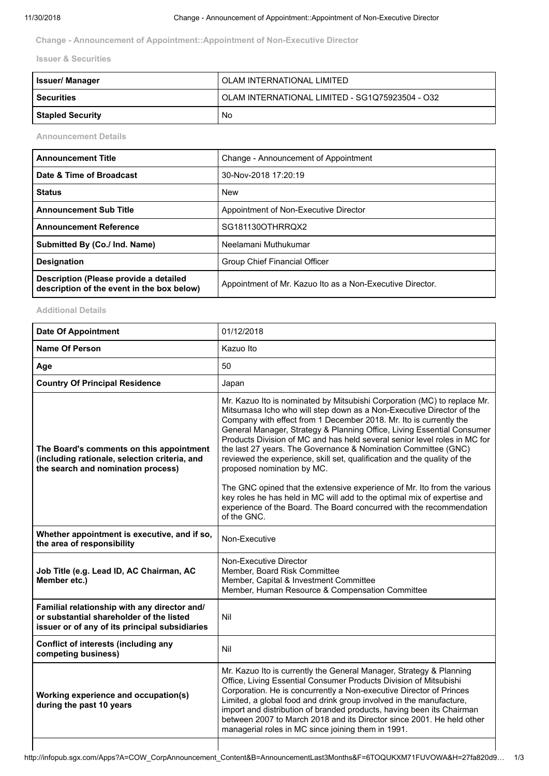**Change - Announcement of Appointment::Appointment of Non-Executive Director**

**Issuer & Securities**

| <b>Issuer/ Manager</b>  | I OLAM INTERNATIONAL LIMITED                    |
|-------------------------|-------------------------------------------------|
| <b>Securities</b>       | OLAM INTERNATIONAL LIMITED - SG1Q75923504 - O32 |
| <b>Stapled Security</b> | <b>No</b>                                       |

**Announcement Details**

| <b>Announcement Title</b>                                                            | Change - Announcement of Appointment                      |
|--------------------------------------------------------------------------------------|-----------------------------------------------------------|
| Date & Time of Broadcast                                                             | 30-Nov-2018 17:20:19                                      |
| <b>Status</b>                                                                        | <b>New</b>                                                |
| <b>Announcement Sub Title</b>                                                        | Appointment of Non-Executive Director                     |
| <b>Announcement Reference</b>                                                        | SG181130OTHRRQX2                                          |
| Submitted By (Co./ Ind. Name)                                                        | Neelamani Muthukumar                                      |
| <b>Designation</b>                                                                   | Group Chief Financial Officer                             |
| Description (Please provide a detailed<br>description of the event in the box below) | Appointment of Mr. Kazuo Ito as a Non-Executive Director. |

## **Additional Details**

| <b>Date Of Appointment</b>                                                                                                                 | 01/12/2018                                                                                                                                                                                                                                                                                                                                                                                                                                                                                                                                                |
|--------------------------------------------------------------------------------------------------------------------------------------------|-----------------------------------------------------------------------------------------------------------------------------------------------------------------------------------------------------------------------------------------------------------------------------------------------------------------------------------------------------------------------------------------------------------------------------------------------------------------------------------------------------------------------------------------------------------|
| <b>Name Of Person</b>                                                                                                                      | Kazuo Ito                                                                                                                                                                                                                                                                                                                                                                                                                                                                                                                                                 |
| Age                                                                                                                                        | 50                                                                                                                                                                                                                                                                                                                                                                                                                                                                                                                                                        |
| <b>Country Of Principal Residence</b>                                                                                                      | Japan                                                                                                                                                                                                                                                                                                                                                                                                                                                                                                                                                     |
| The Board's comments on this appointment<br>(including rationale, selection criteria, and<br>the search and nomination process)            | Mr. Kazuo Ito is nominated by Mitsubishi Corporation (MC) to replace Mr.<br>Mitsumasa Icho who will step down as a Non-Executive Director of the<br>Company with effect from 1 December 2018. Mr. Ito is currently the<br>General Manager, Strategy & Planning Office, Living Essential Consumer<br>Products Division of MC and has held several senior level roles in MC for<br>the last 27 years. The Governance & Nomination Committee (GNC)<br>reviewed the experience, skill set, qualification and the quality of the<br>proposed nomination by MC. |
|                                                                                                                                            | The GNC opined that the extensive experience of Mr. Ito from the various<br>key roles he has held in MC will add to the optimal mix of expertise and<br>experience of the Board. The Board concurred with the recommendation<br>of the GNC.                                                                                                                                                                                                                                                                                                               |
| Whether appointment is executive, and if so,<br>the area of responsibility                                                                 | Non-Executive                                                                                                                                                                                                                                                                                                                                                                                                                                                                                                                                             |
| Job Title (e.g. Lead ID, AC Chairman, AC<br>Member etc.)                                                                                   | Non-Executive Director<br>Member, Board Risk Committee<br>Member, Capital & Investment Committee<br>Member, Human Resource & Compensation Committee                                                                                                                                                                                                                                                                                                                                                                                                       |
| Familial relationship with any director and/<br>or substantial shareholder of the listed<br>issuer or of any of its principal subsidiaries | Nil                                                                                                                                                                                                                                                                                                                                                                                                                                                                                                                                                       |
| Conflict of interests (including any<br>competing business)                                                                                | Nil                                                                                                                                                                                                                                                                                                                                                                                                                                                                                                                                                       |
| Working experience and occupation(s)<br>during the past 10 years                                                                           | Mr. Kazuo Ito is currently the General Manager, Strategy & Planning<br>Office, Living Essential Consumer Products Division of Mitsubishi<br>Corporation. He is concurrently a Non-executive Director of Princes<br>Limited, a global food and drink group involved in the manufacture,<br>import and distribution of branded products, having been its Chairman<br>between 2007 to March 2018 and its Director since 2001. He held other<br>managerial roles in MC since joining them in 1991.                                                            |
|                                                                                                                                            |                                                                                                                                                                                                                                                                                                                                                                                                                                                                                                                                                           |

H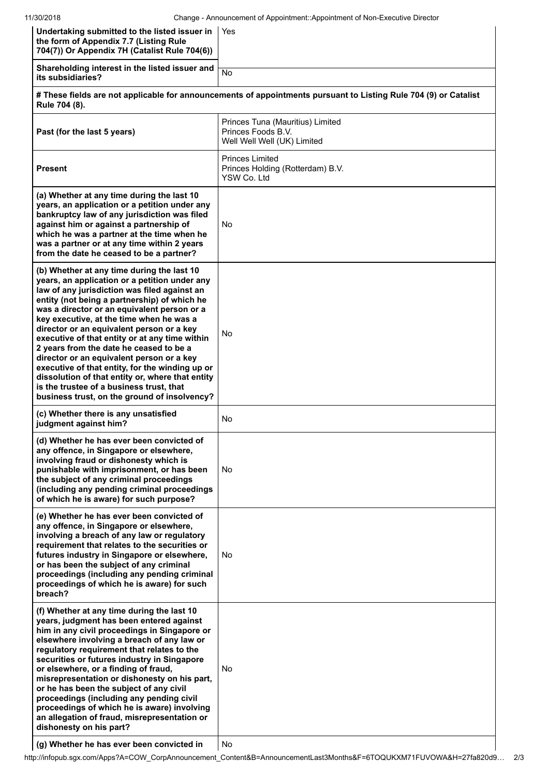| Undertaking submitted to the listed issuer in<br>the form of Appendix 7.7 (Listing Rule<br>704(7)) Or Appendix 7H (Catalist Rule 704(6))                                                                                                                                                                                                                                                                                                                                                                                                                                                                                                                                         | Yes                                                                                   |
|----------------------------------------------------------------------------------------------------------------------------------------------------------------------------------------------------------------------------------------------------------------------------------------------------------------------------------------------------------------------------------------------------------------------------------------------------------------------------------------------------------------------------------------------------------------------------------------------------------------------------------------------------------------------------------|---------------------------------------------------------------------------------------|
| Shareholding interest in the listed issuer and<br>its subsidiaries?                                                                                                                                                                                                                                                                                                                                                                                                                                                                                                                                                                                                              | No                                                                                    |
| # These fields are not applicable for announcements of appointments pursuant to Listing Rule 704 (9) or Catalist<br>Rule 704 (8).                                                                                                                                                                                                                                                                                                                                                                                                                                                                                                                                                |                                                                                       |
| Past (for the last 5 years)                                                                                                                                                                                                                                                                                                                                                                                                                                                                                                                                                                                                                                                      | Princes Tuna (Mauritius) Limited<br>Princes Foods B.V.<br>Well Well Well (UK) Limited |
| <b>Present</b>                                                                                                                                                                                                                                                                                                                                                                                                                                                                                                                                                                                                                                                                   | <b>Princes Limited</b><br>Princes Holding (Rotterdam) B.V.<br>YSW Co. Ltd             |
| (a) Whether at any time during the last 10<br>years, an application or a petition under any<br>bankruptcy law of any jurisdiction was filed<br>against him or against a partnership of<br>which he was a partner at the time when he<br>was a partner or at any time within 2 years<br>from the date he ceased to be a partner?                                                                                                                                                                                                                                                                                                                                                  | No.                                                                                   |
| (b) Whether at any time during the last 10<br>years, an application or a petition under any<br>law of any jurisdiction was filed against an<br>entity (not being a partnership) of which he<br>was a director or an equivalent person or a<br>key executive, at the time when he was a<br>director or an equivalent person or a key<br>executive of that entity or at any time within<br>2 years from the date he ceased to be a<br>director or an equivalent person or a key<br>executive of that entity, for the winding up or<br>dissolution of that entity or, where that entity<br>is the trustee of a business trust, that<br>business trust, on the ground of insolvency? | No.                                                                                   |
| (c) Whether there is any unsatisfied<br>judgment against him?                                                                                                                                                                                                                                                                                                                                                                                                                                                                                                                                                                                                                    | No.                                                                                   |
| (d) Whether he has ever been convicted of<br>any offence, in Singapore or elsewhere,<br>involving fraud or dishonesty which is<br>punishable with imprisonment, or has been<br>the subject of any criminal proceedings<br>(including any pending criminal proceedings<br>of which he is aware) for such purpose?                                                                                                                                                                                                                                                                                                                                                                 | No.                                                                                   |
| (e) Whether he has ever been convicted of<br>any offence, in Singapore or elsewhere,<br>involving a breach of any law or regulatory<br>requirement that relates to the securities or<br>futures industry in Singapore or elsewhere,<br>or has been the subject of any criminal<br>proceedings (including any pending criminal<br>proceedings of which he is aware) for such<br>breach?                                                                                                                                                                                                                                                                                           | No.                                                                                   |
| (f) Whether at any time during the last 10<br>years, judgment has been entered against<br>him in any civil proceedings in Singapore or<br>elsewhere involving a breach of any law or<br>regulatory requirement that relates to the<br>securities or futures industry in Singapore<br>or elsewhere, or a finding of fraud,<br>misrepresentation or dishonesty on his part,<br>or he has been the subject of any civil<br>proceedings (including any pending civil<br>proceedings of which he is aware) involving<br>an allegation of fraud, misrepresentation or<br>dishonesty on his part?                                                                                       | No.                                                                                   |

**(g) Whether he has ever been convicted in** No